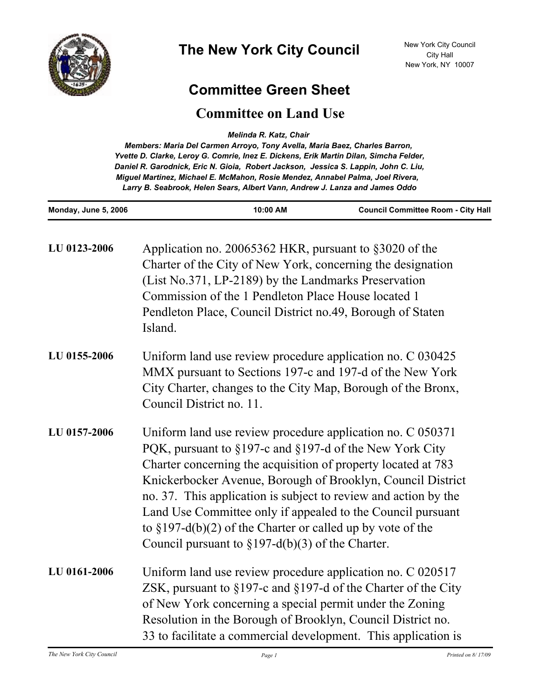

## **Committee Green Sheet**

## **Committee on Land Use**

*Melinda R. Katz, Chair* 

*Members: Maria Del Carmen Arroyo, Tony Avella, Maria Baez, Charles Barron, Yvette D. Clarke, Leroy G. Comrie, Inez E. Dickens, Erik Martin Dilan, Simcha Felder, Daniel R. Garodnick, Eric N. Gioia, Robert Jackson, Jessica S. Lappin, John C. Liu, Miguel Martinez, Michael E. McMahon, Rosie Mendez, Annabel Palma, Joel Rivera, Larry B. Seabrook, Helen Sears, Albert Vann, Andrew J. Lanza and James Oddo*

| Monday, June 5, 2006 | 10:00 AM                                                                                                                                                                                                                                                                                                                                                                                                                                                                                                          | <b>Council Committee Room - City Hall</b> |
|----------------------|-------------------------------------------------------------------------------------------------------------------------------------------------------------------------------------------------------------------------------------------------------------------------------------------------------------------------------------------------------------------------------------------------------------------------------------------------------------------------------------------------------------------|-------------------------------------------|
| LU 0123-2006         | Application no. 20065362 HKR, pursuant to §3020 of the<br>Charter of the City of New York, concerning the designation<br>(List No.371, LP-2189) by the Landmarks Preservation<br>Commission of the 1 Pendleton Place House located 1<br>Pendleton Place, Council District no.49, Borough of Staten<br>Island.                                                                                                                                                                                                     |                                           |
| LU 0155-2006         | Uniform land use review procedure application no. C 030425<br>MMX pursuant to Sections 197-c and 197-d of the New York<br>City Charter, changes to the City Map, Borough of the Bronx,<br>Council District no. 11.                                                                                                                                                                                                                                                                                                |                                           |
| LU 0157-2006         | Uniform land use review procedure application no. C 050371<br>PQK, pursuant to §197-c and §197-d of the New York City<br>Charter concerning the acquisition of property located at 783<br>Knickerbocker Avenue, Borough of Brooklyn, Council District<br>no. 37. This application is subject to review and action by the<br>Land Use Committee only if appealed to the Council pursuant<br>to $\S 197-d(b)(2)$ of the Charter or called up by vote of the<br>Council pursuant to $\S 197-d(b)(3)$ of the Charter. |                                           |
| LU 0161-2006         | Uniform land use review procedure application no. C 020517<br>ZSK, pursuant to $\S 197$ -c and $\S 197$ -d of the Charter of the City<br>of New York concerning a special permit under the Zoning<br>Resolution in the Borough of Brooklyn, Council District no.<br>33 to facilitate a commercial development. This application is                                                                                                                                                                                |                                           |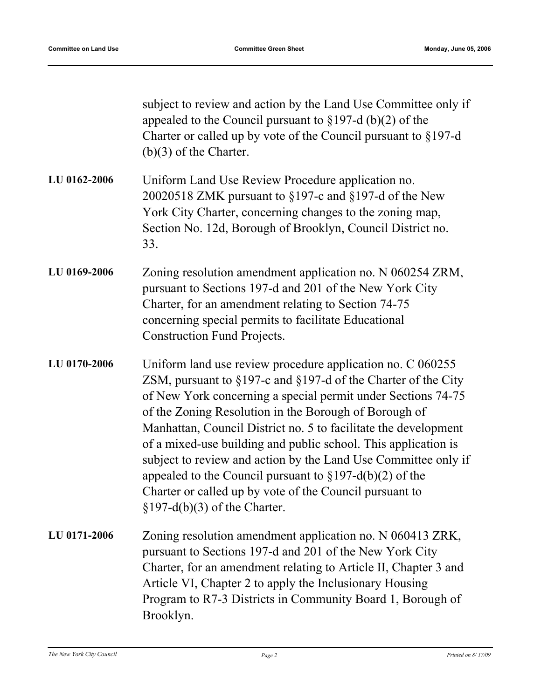|              | subject to review and action by the Land Use Committee only if<br>appealed to the Council pursuant to $\S 197-d (b)(2)$ of the<br>Charter or called up by vote of the Council pursuant to §197-d<br>$(b)(3)$ of the Charter.                                                                                                                                                                                                                                                                                                                                                                                                        |
|--------------|-------------------------------------------------------------------------------------------------------------------------------------------------------------------------------------------------------------------------------------------------------------------------------------------------------------------------------------------------------------------------------------------------------------------------------------------------------------------------------------------------------------------------------------------------------------------------------------------------------------------------------------|
| LU 0162-2006 | Uniform Land Use Review Procedure application no.<br>20020518 ZMK pursuant to $\S197$ -c and $\S197$ -d of the New<br>York City Charter, concerning changes to the zoning map,<br>Section No. 12d, Borough of Brooklyn, Council District no.<br>33.                                                                                                                                                                                                                                                                                                                                                                                 |
| LU 0169-2006 | Zoning resolution amendment application no. N 060254 ZRM,<br>pursuant to Sections 197-d and 201 of the New York City<br>Charter, for an amendment relating to Section 74-75<br>concerning special permits to facilitate Educational<br><b>Construction Fund Projects.</b>                                                                                                                                                                                                                                                                                                                                                           |
| LU 0170-2006 | Uniform land use review procedure application no. C 060255<br>ZSM, pursuant to $\S 197$ -c and $\S 197$ -d of the Charter of the City<br>of New York concerning a special permit under Sections 74-75<br>of the Zoning Resolution in the Borough of Borough of<br>Manhattan, Council District no. 5 to facilitate the development<br>of a mixed-use building and public school. This application is<br>subject to review and action by the Land Use Committee only if<br>appealed to the Council pursuant to $\S 197-d(b)(2)$ of the<br>Charter or called up by vote of the Council pursuant to<br>$\S 197-d(b)(3)$ of the Charter. |
| LU 0171-2006 | Zoning resolution amendment application no. N 060413 ZRK,<br>pursuant to Sections 197-d and 201 of the New York City<br>Charter, for an amendment relating to Article II, Chapter 3 and<br>Article VI, Chapter 2 to apply the Inclusionary Housing<br>Program to R7-3 Districts in Community Board 1, Borough of<br>Brooklyn.                                                                                                                                                                                                                                                                                                       |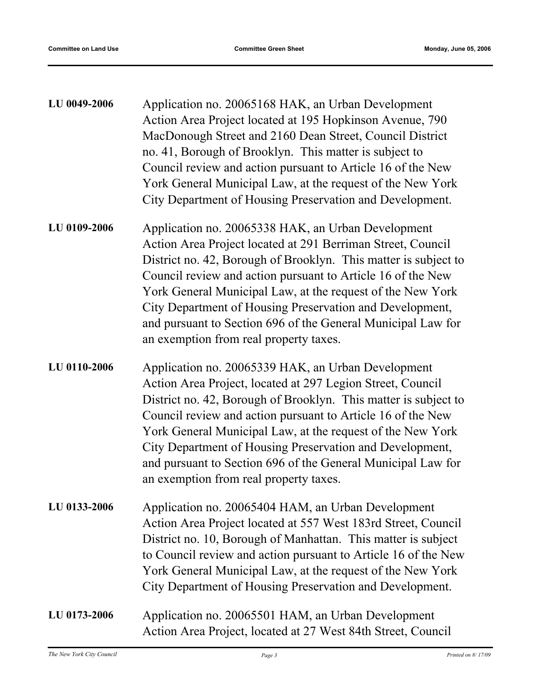| LU 0049-2006 | Application no. 20065168 HAK, an Urban Development<br>Action Area Project located at 195 Hopkinson Avenue, 790<br>MacDonough Street and 2160 Dean Street, Council District<br>no. 41, Borough of Brooklyn. This matter is subject to<br>Council review and action pursuant to Article 16 of the New<br>York General Municipal Law, at the request of the New York<br>City Department of Housing Preservation and Development.                                                           |
|--------------|-----------------------------------------------------------------------------------------------------------------------------------------------------------------------------------------------------------------------------------------------------------------------------------------------------------------------------------------------------------------------------------------------------------------------------------------------------------------------------------------|
| LU 0109-2006 | Application no. 20065338 HAK, an Urban Development<br>Action Area Project located at 291 Berriman Street, Council<br>District no. 42, Borough of Brooklyn. This matter is subject to<br>Council review and action pursuant to Article 16 of the New<br>York General Municipal Law, at the request of the New York<br>City Department of Housing Preservation and Development,<br>and pursuant to Section 696 of the General Municipal Law for<br>an exemption from real property taxes. |
| LU 0110-2006 | Application no. 20065339 HAK, an Urban Development<br>Action Area Project, located at 297 Legion Street, Council<br>District no. 42, Borough of Brooklyn. This matter is subject to<br>Council review and action pursuant to Article 16 of the New<br>York General Municipal Law, at the request of the New York<br>City Department of Housing Preservation and Development,<br>and pursuant to Section 696 of the General Municipal Law for<br>an exemption from real property taxes.  |
| LU 0133-2006 | Application no. 20065404 HAM, an Urban Development<br>Action Area Project located at 557 West 183rd Street, Council<br>District no. 10, Borough of Manhattan. This matter is subject<br>to Council review and action pursuant to Article 16 of the New<br>York General Municipal Law, at the request of the New York<br>City Department of Housing Preservation and Development.                                                                                                        |
| LU 0173-2006 | Application no. 20065501 HAM, an Urban Development<br>Action Area Project, located at 27 West 84th Street, Council                                                                                                                                                                                                                                                                                                                                                                      |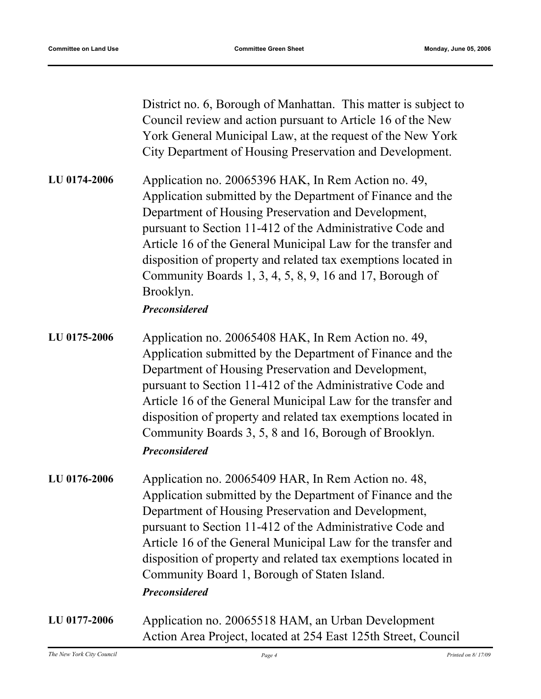District no. 6, Borough of Manhattan. This matter is subject to Council review and action pursuant to Article 16 of the New York General Municipal Law, at the request of the New York City Department of Housing Preservation and Development.

Application no. 20065396 HAK, In Rem Action no. 49, Application submitted by the Department of Finance and the Department of Housing Preservation and Development, pursuant to Section 11-412 of the Administrative Code and Article 16 of the General Municipal Law for the transfer and disposition of property and related tax exemptions located in Community Boards 1, 3, 4, 5, 8, 9, 16 and 17, Borough of Brooklyn. **LU 0174-2006**

## *Preconsidered*

- Application no. 20065408 HAK, In Rem Action no. 49, Application submitted by the Department of Finance and the Department of Housing Preservation and Development, pursuant to Section 11-412 of the Administrative Code and Article 16 of the General Municipal Law for the transfer and disposition of property and related tax exemptions located in Community Boards 3, 5, 8 and 16, Borough of Brooklyn. **LU 0175-2006** *Preconsidered*
- Application no. 20065409 HAR, In Rem Action no. 48, Application submitted by the Department of Finance and the Department of Housing Preservation and Development, pursuant to Section 11-412 of the Administrative Code and Article 16 of the General Municipal Law for the transfer and disposition of property and related tax exemptions located in Community Board 1, Borough of Staten Island. **LU 0176-2006** *Preconsidered*
- Application no. 20065518 HAM, an Urban Development Action Area Project, located at 254 East 125th Street, Council **LU 0177-2006**